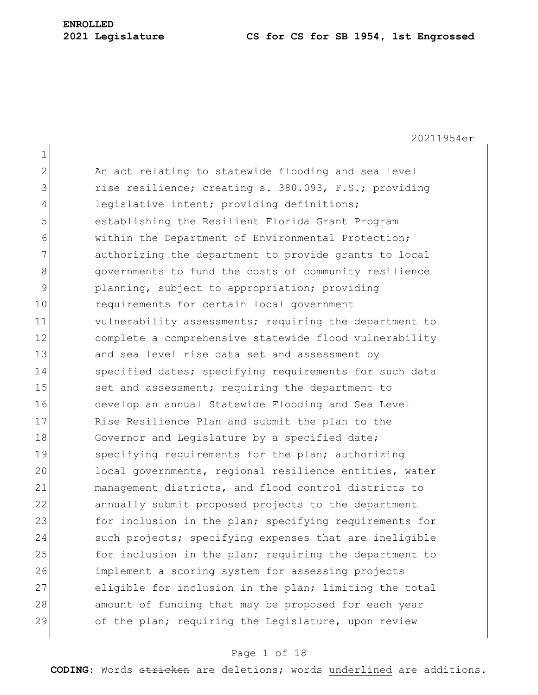20211954er

1 2 An act relating to statewide flooding and sea level 3 and its rise resilience; creating s. 380.093, F.S.; providing 4 legislative intent; providing definitions; 5 establishing the Resilient Florida Grant Program 6 within the Department of Environmental Protection; 7 authorizing the department to provide grants to local 8 8 governments to fund the costs of community resilience 9 planning, subject to appropriation; providing 10 requirements for certain local government 11 vulnerability assessments; requiring the department to 12 complete a comprehensive statewide flood vulnerability 13 and sea level rise data set and assessment by 14 Specified dates; specifying requirements for such data 15 set and assessment; requiring the department to 16 develop an annual Statewide Flooding and Sea Level 17 Rise Resilience Plan and submit the plan to the 18 Governor and Legislature by a specified date; 19 specifying requirements for the plan; authorizing 20 local governments, regional resilience entities, water 21 management districts, and flood control districts to 22 annually submit proposed projects to the department 23 for inclusion in the plan; specifying requirements for 24 such projects; specifying expenses that are ineligible 25 **for inclusion in the plan; requiring the department to** 26 implement a scoring system for assessing projects 27 eligible for inclusion in the plan; limiting the total 28 amount of funding that may be proposed for each year 29 of the plan; requiring the Legislature, upon review

#### Page 1 of 18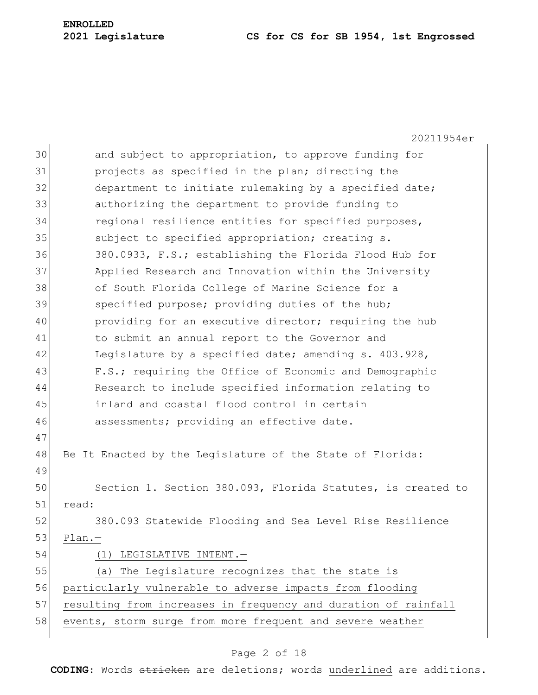#### **2021 Legislature CS for CS for SB 1954, 1st Engrossed**

20211954er 30 and subject to appropriation, to approve funding for 31 projects as specified in the plan; directing the 32 department to initiate rulemaking by a specified date; 33 authorizing the department to provide funding to 34 regional resilience entities for specified purposes, 35 subject to specified appropriation; creating s. 36 380.0933, F.S.; establishing the Florida Flood Hub for 37 Applied Research and Innovation within the University 38 of South Florida College of Marine Science for a 39 specified purpose; providing duties of the hub; 40 providing for an executive director; requiring the hub 41 to submit an annual report to the Governor and 42 Legislature by a specified date; amending s. 403.928, 43 F.S.; requiring the Office of Economic and Demographic 44 Research to include specified information relating to 45 inland and coastal flood control in certain 46 assessments; providing an effective date. 47 48 Be It Enacted by the Legislature of the State of Florida: 49 50 Section 1. Section 380.093, Florida Statutes, is created to 51 read: 52 380.093 Statewide Flooding and Sea Level Rise Resilience 53 Plan.— 54 (1) LEGISLATIVE INTENT. 55 (a) The Legislature recognizes that the state is 56 particularly vulnerable to adverse impacts from flooding 57 resulting from increases in frequency and duration of rainfall 58 events, storm surge from more frequent and severe weather

#### Page 2 of 18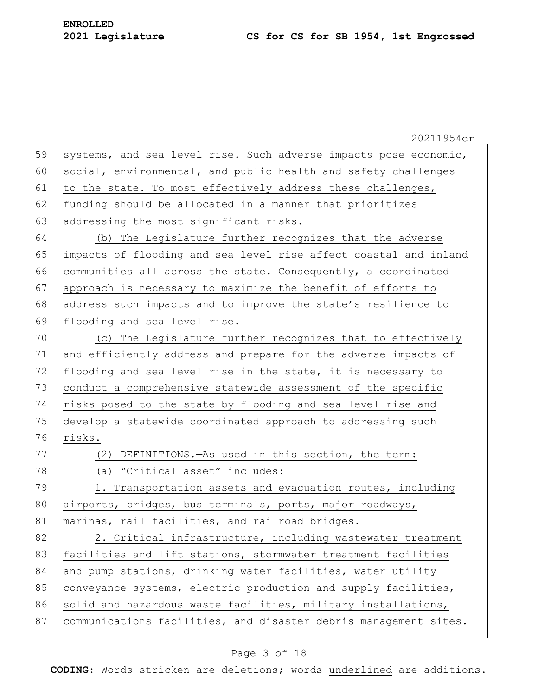|    | 20211954er                                                       |
|----|------------------------------------------------------------------|
| 59 | systems, and sea level rise. Such adverse impacts pose economic, |
| 60 | social, environmental, and public health and safety challenges   |
| 61 | to the state. To most effectively address these challenges,      |
| 62 | funding should be allocated in a manner that prioritizes         |
| 63 | addressing the most significant risks.                           |
| 64 | (b) The Legislature further recognizes that the adverse          |
| 65 | impacts of flooding and sea level rise affect coastal and inland |
| 66 | communities all across the state. Consequently, a coordinated    |
| 67 | approach is necessary to maximize the benefit of efforts to      |
| 68 | address such impacts and to improve the state's resilience to    |
| 69 | flooding and sea level rise.                                     |
| 70 | (c) The Legislature further recognizes that to effectively       |
| 71 | and efficiently address and prepare for the adverse impacts of   |
| 72 | flooding and sea level rise in the state, it is necessary to     |
| 73 | conduct a comprehensive statewide assessment of the specific     |
| 74 | risks posed to the state by flooding and sea level rise and      |
| 75 | develop a statewide coordinated approach to addressing such      |
| 76 | risks.                                                           |
| 77 | DEFINITIONS. - As used in this section, the term:<br>(2)         |
| 78 | (a) "Critical asset" includes:                                   |
| 79 | 1. Transportation assets and evacuation routes, including        |
| 80 | airports, bridges, bus terminals, ports, major roadways,         |
| 81 | marinas, rail facilities, and railroad bridges.                  |
| 82 | 2. Critical infrastructure, including wastewater treatment       |
| 83 | facilities and lift stations, stormwater treatment facilities    |
| 84 | and pump stations, drinking water facilities, water utility      |
| 85 | conveyance systems, electric production and supply facilities,   |
| 86 | solid and hazardous waste facilities, military installations,    |
| 87 | communications facilities, and disaster debris management sites. |
|    |                                                                  |

# Page 3 of 18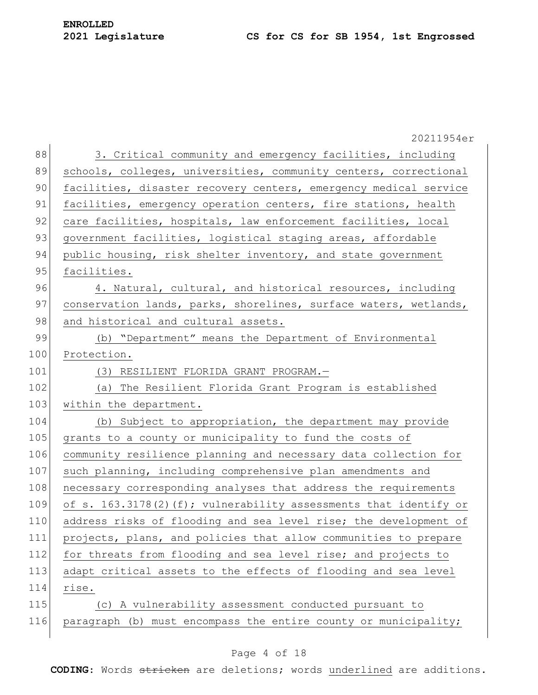**ENROLLED**

20211954er 88 3. Critical community and emergency facilities, including 89 schools, colleges, universities, community centers, correctional 90 facilities, disaster recovery centers, emergency medical service 91 facilities, emergency operation centers, fire stations, health 92 care facilities, hospitals, law enforcement facilities, local 93 government facilities, logistical staging areas, affordable 94 public housing, risk shelter inventory, and state government 95 facilities. 96 4. Natural, cultural, and historical resources, including 97 conservation lands, parks, shorelines, surface waters, wetlands, 98 and historical and cultural assets. 99 (b) "Department" means the Department of Environmental 100 Protection. 101 (3) RESILIENT FLORIDA GRANT PROGRAM.-102 (a) The Resilient Florida Grant Program is established 103 within the department. 104 (b) Subject to appropriation, the department may provide 105 grants to a county or municipality to fund the costs of 106 community resilience planning and necessary data collection for 107 such planning, including comprehensive plan amendments and 108 necessary corresponding analyses that address the requirements 109 of s. 163.3178(2)(f); vulnerability assessments that identify or 110 address risks of flooding and sea level rise; the development of 111 projects, plans, and policies that allow communities to prepare 112 for threats from flooding and sea level rise; and projects to 113 adapt critical assets to the effects of flooding and sea level 114 rise. 115 (c) A vulnerability assessment conducted pursuant to 116 paragraph (b) must encompass the entire county or municipality;

#### Page 4 of 18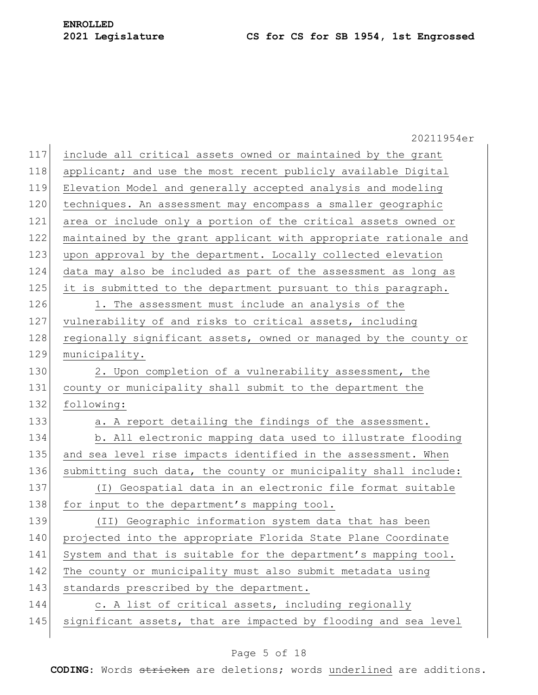|     | 20211954er                                                       |
|-----|------------------------------------------------------------------|
| 117 | include all critical assets owned or maintained by the grant     |
| 118 | applicant; and use the most recent publicly available Digital    |
| 119 | Elevation Model and generally accepted analysis and modeling     |
| 120 | techniques. An assessment may encompass a smaller geographic     |
| 121 | area or include only a portion of the critical assets owned or   |
| 122 | maintained by the grant applicant with appropriate rationale and |
| 123 | upon approval by the department. Locally collected elevation     |
| 124 | data may also be included as part of the assessment as long as   |
| 125 | it is submitted to the department pursuant to this paragraph.    |
| 126 | 1. The assessment must include an analysis of the                |
| 127 | vulnerability of and risks to critical assets, including         |
| 128 | regionally significant assets, owned or managed by the county or |
| 129 | municipality.                                                    |
| 130 | 2. Upon completion of a vulnerability assessment, the            |
| 131 | county or municipality shall submit to the department the        |
| 132 | following:                                                       |
| 133 | a. A report detailing the findings of the assessment.            |
| 134 | b. All electronic mapping data used to illustrate flooding       |
| 135 | and sea level rise impacts identified in the assessment. When    |
| 136 | submitting such data, the county or municipality shall include:  |
| 137 | (I) Geospatial data in an electronic file format suitable        |
| 138 | for input to the department's mapping tool.                      |
| 139 | (II) Geographic information system data that has been            |
| 140 | projected into the appropriate Florida State Plane Coordinate    |
| 141 | System and that is suitable for the department's mapping tool.   |
| 142 | The county or municipality must also submit metadata using       |
| 143 | standards prescribed by the department.                          |
| 144 | c. A list of critical assets, including regionally               |
| 145 | significant assets, that are impacted by flooding and sea level  |
|     |                                                                  |

# Page 5 of 18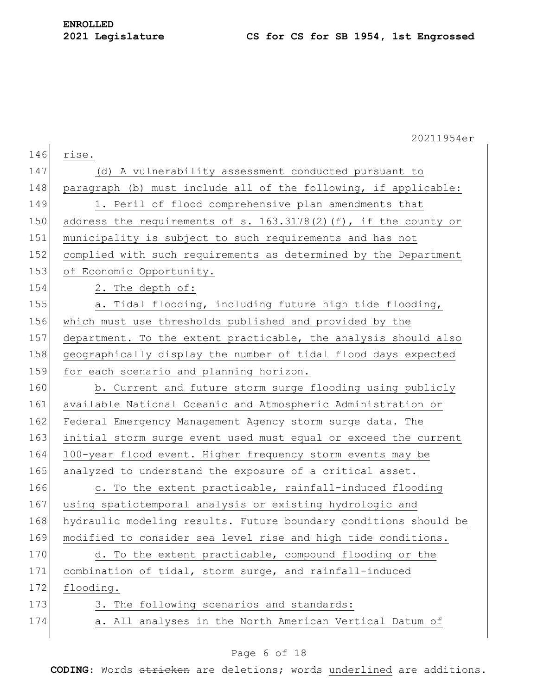|     | 20211954er                                                         |
|-----|--------------------------------------------------------------------|
| 146 | rise.                                                              |
| 147 | (d) A vulnerability assessment conducted pursuant to               |
| 148 | paragraph (b) must include all of the following, if applicable:    |
| 149 | 1. Peril of flood comprehensive plan amendments that               |
| 150 | address the requirements of s. $163.3178(2)$ (f), if the county or |
| 151 | municipality is subject to such requirements and has not           |
| 152 | complied with such requirements as determined by the Department    |
| 153 | of Economic Opportunity.                                           |
| 154 | 2. The depth of:                                                   |
| 155 | a. Tidal flooding, including future high tide flooding,            |
| 156 | which must use thresholds published and provided by the            |
| 157 | department. To the extent practicable, the analysis should also    |
| 158 | geographically display the number of tidal flood days expected     |
| 159 | for each scenario and planning horizon.                            |
| 160 | b. Current and future storm surge flooding using publicly          |
| 161 | available National Oceanic and Atmospheric Administration or       |
| 162 | Federal Emergency Management Agency storm surge data. The          |
| 163 | initial storm surge event used must equal or exceed the current    |
| 164 | 100-year flood event. Higher frequency storm events may be         |
| 165 | analyzed to understand the exposure of a critical asset.           |
| 166 | c. To the extent practicable, rainfall-induced flooding            |
| 167 | using spatiotemporal analysis or existing hydrologic and           |
| 168 | hydraulic modeling results. Future boundary conditions should be   |
| 169 | modified to consider sea level rise and high tide conditions.      |
| 170 | d. To the extent practicable, compound flooding or the             |
| 171 | combination of tidal, storm surge, and rainfall-induced            |
| 172 | flooding.                                                          |
| 173 | 3. The following scenarios and standards:                          |
| 174 | a. All analyses in the North American Vertical Datum of            |
|     |                                                                    |

# Page 6 of 18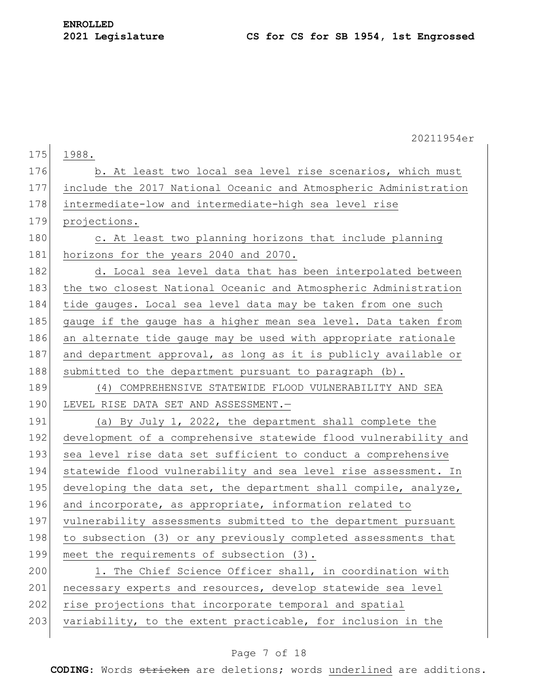|     | 20211954er                                                       |
|-----|------------------------------------------------------------------|
| 175 | 1988.                                                            |
| 176 | b. At least two local sea level rise scenarios, which must       |
| 177 | include the 2017 National Oceanic and Atmospheric Administration |
| 178 | intermediate-low and intermediate-high sea level rise            |
| 179 | projections.                                                     |
| 180 | c. At least two planning horizons that include planning          |
| 181 | horizons for the years 2040 and 2070.                            |
| 182 | d. Local sea level data that has been interpolated between       |
| 183 | the two closest National Oceanic and Atmospheric Administration  |
| 184 | tide gauges. Local sea level data may be taken from one such     |
| 185 | gauge if the gauge has a higher mean sea level. Data taken from  |
| 186 | an alternate tide gauge may be used with appropriate rationale   |
| 187 | and department approval, as long as it is publicly available or  |
| 188 | submitted to the department pursuant to paragraph (b).           |
| 189 | (4) COMPREHENSIVE STATEWIDE FLOOD VULNERABILITY AND SEA          |
| 190 | LEVEL RISE DATA SET AND ASSESSMENT.-                             |
| 191 | (a) By July 1, 2022, the department shall complete the           |
| 192 | development of a comprehensive statewide flood vulnerability and |
| 193 | sea level rise data set sufficient to conduct a comprehensive    |
| 194 | statewide flood vulnerability and sea level rise assessment. In  |
| 195 | developing the data set, the department shall compile, analyze,  |
| 196 | and incorporate, as appropriate, information related to          |
| 197 | vulnerability assessments submitted to the department pursuant   |
| 198 | to subsection (3) or any previously completed assessments that   |
| 199 | meet the requirements of subsection (3).                         |
| 200 | 1. The Chief Science Officer shall, in coordination with         |
| 201 | necessary experts and resources, develop statewide sea level     |
| 202 | rise projections that incorporate temporal and spatial           |
| 203 | variability, to the extent practicable, for inclusion in the     |
|     |                                                                  |

# Page 7 of 18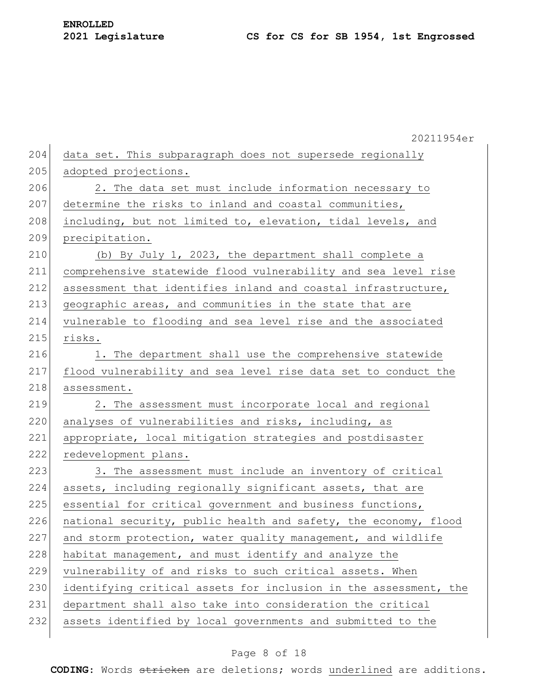|     | 20211954er                                                       |
|-----|------------------------------------------------------------------|
| 204 | data set. This subparagraph does not supersede regionally        |
| 205 | adopted projections.                                             |
| 206 | 2. The data set must include information necessary to            |
| 207 | determine the risks to inland and coastal communities,           |
| 208 | including, but not limited to, elevation, tidal levels, and      |
| 209 | precipitation.                                                   |
| 210 | (b) By July 1, 2023, the department shall complete a             |
| 211 | comprehensive statewide flood vulnerability and sea level rise   |
| 212 | assessment that identifies inland and coastal infrastructure,    |
| 213 | geographic areas, and communities in the state that are          |
| 214 | vulnerable to flooding and sea level rise and the associated     |
| 215 | risks.                                                           |
| 216 | 1. The department shall use the comprehensive statewide          |
| 217 | flood vulnerability and sea level rise data set to conduct the   |
| 218 | assessment.                                                      |
| 219 | 2. The assessment must incorporate local and regional            |
| 220 | analyses of vulnerabilities and risks, including, as             |
| 221 | appropriate, local mitigation strategies and postdisaster        |
| 222 | redevelopment plans.                                             |
| 223 | 3. The assessment must include an inventory of critical          |
| 224 | assets, including regionally significant assets, that are        |
| 225 | essential for critical government and business functions,        |
| 226 | national security, public health and safety, the economy, flood  |
| 227 | and storm protection, water quality management, and wildlife     |
| 228 | habitat management, and must identify and analyze the            |
| 229 | vulnerability of and risks to such critical assets. When         |
| 230 | identifying critical assets for inclusion in the assessment, the |
| 231 | department shall also take into consideration the critical       |
| 232 | assets identified by local governments and submitted to the      |
|     |                                                                  |

### Page 8 of 18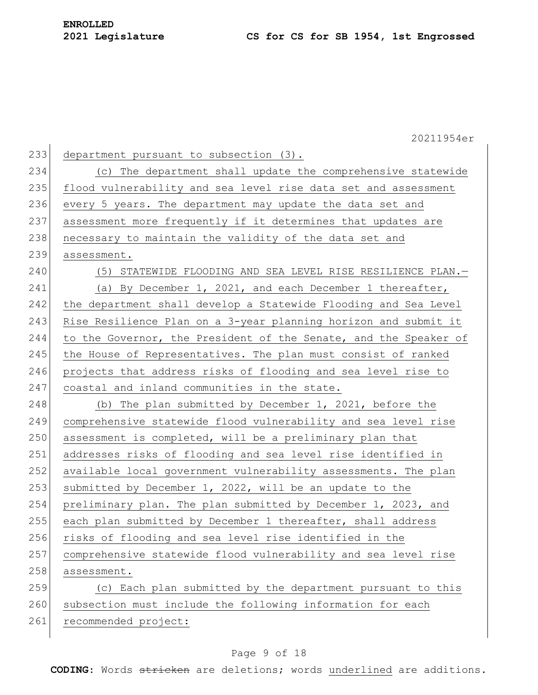|     | 20211954er                                                       |
|-----|------------------------------------------------------------------|
| 233 | department pursuant to subsection (3).                           |
| 234 | (c) The department shall update the comprehensive statewide      |
| 235 | flood vulnerability and sea level rise data set and assessment   |
| 236 | every 5 years. The department may update the data set and        |
| 237 | assessment more frequently if it determines that updates are     |
| 238 | necessary to maintain the validity of the data set and           |
| 239 | assessment.                                                      |
| 240 | (5) STATEWIDE FLOODING AND SEA LEVEL RISE RESILIENCE PLAN.-      |
| 241 | (a) By December 1, 2021, and each December 1 thereafter,         |
| 242 | the department shall develop a Statewide Flooding and Sea Level  |
| 243 | Rise Resilience Plan on a 3-year planning horizon and submit it  |
| 244 | to the Governor, the President of the Senate, and the Speaker of |
| 245 | the House of Representatives. The plan must consist of ranked    |
| 246 | projects that address risks of flooding and sea level rise to    |
| 247 | coastal and inland communities in the state.                     |
| 248 | (b) The plan submitted by December 1, 2021, before the           |
| 249 | comprehensive statewide flood vulnerability and sea level rise   |
| 250 | assessment is completed, will be a preliminary plan that         |
| 251 | addresses risks of flooding and sea level rise identified in     |
| 252 | available local government vulnerability assessments. The plan   |
| 253 | submitted by December 1, 2022, will be an update to the          |
| 254 | preliminary plan. The plan submitted by December 1, 2023, and    |
| 255 | each plan submitted by December 1 thereafter, shall address      |
| 256 | risks of flooding and sea level rise identified in the           |
| 257 | comprehensive statewide flood vulnerability and sea level rise   |
| 258 | assessment.                                                      |
| 259 | (c) Each plan submitted by the department pursuant to this       |
| 260 | subsection must include the following information for each       |
| 261 | recommended project:                                             |

# Page 9 of 18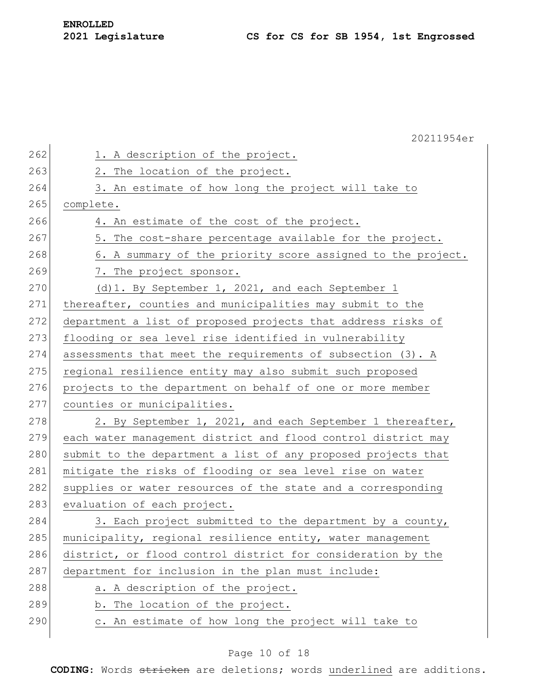|     | 20211954er                                                    |
|-----|---------------------------------------------------------------|
| 262 | 1. A description of the project.                              |
| 263 | 2. The location of the project.                               |
| 264 | 3. An estimate of how long the project will take to           |
| 265 | complete.                                                     |
| 266 | 4. An estimate of the cost of the project.                    |
| 267 | 5. The cost-share percentage available for the project.       |
| 268 | 6. A summary of the priority score assigned to the project.   |
| 269 | 7. The project sponsor.                                       |
| 270 | (d) 1. By September 1, 2021, and each September 1             |
| 271 | thereafter, counties and municipalities may submit to the     |
| 272 | department a list of proposed projects that address risks of  |
| 273 | flooding or sea level rise identified in vulnerability        |
| 274 | assessments that meet the requirements of subsection (3). A   |
| 275 | regional resilience entity may also submit such proposed      |
| 276 | projects to the department on behalf of one or more member    |
| 277 | counties or municipalities.                                   |
| 278 | 2. By September 1, 2021, and each September 1 thereafter,     |
| 279 | each water management district and flood control district may |
| 280 | submit to the department a list of any proposed projects that |
| 281 | mitigate the risks of flooding or sea level rise on water     |
| 282 | supplies or water resources of the state and a corresponding  |
| 283 | evaluation of each project.                                   |
| 284 | 3. Each project submitted to the department by a county,      |
| 285 | municipality, regional resilience entity, water management    |
| 286 | district, or flood control district for consideration by the  |
| 287 | department for inclusion in the plan must include:            |
| 288 | a. A description of the project.                              |
| 289 | b. The location of the project.                               |
| 290 | c. An estimate of how long the project will take to           |
|     |                                                               |

# Page 10 of 18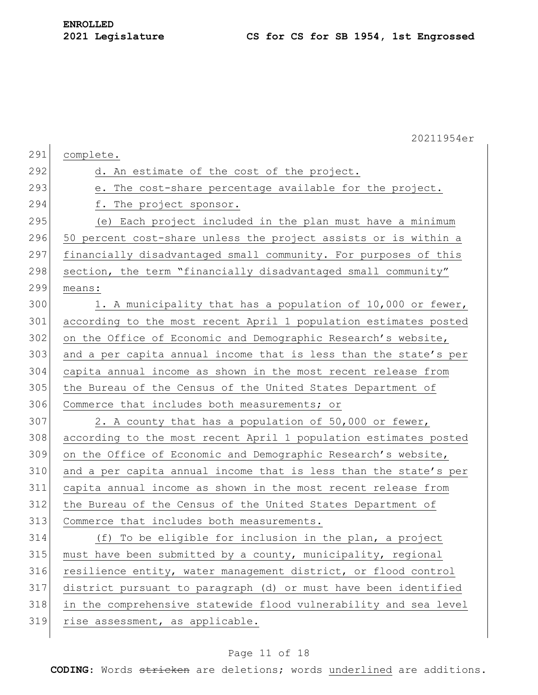|     | 20211954er                                                       |
|-----|------------------------------------------------------------------|
| 291 | complete.                                                        |
| 292 | d. An estimate of the cost of the project.                       |
| 293 | e. The cost-share percentage available for the project.          |
| 294 | f. The project sponsor.                                          |
| 295 | (e) Each project included in the plan must have a minimum        |
| 296 | 50 percent cost-share unless the project assists or is within a  |
| 297 | financially disadvantaged small community. For purposes of this  |
| 298 | section, the term "financially disadvantaged small community"    |
| 299 | means:                                                           |
| 300 | 1. A municipality that has a population of 10,000 or fewer,      |
| 301 | according to the most recent April 1 population estimates posted |
| 302 | on the Office of Economic and Demographic Research's website,    |
| 303 | and a per capita annual income that is less than the state's per |
| 304 | capita annual income as shown in the most recent release from    |
| 305 | the Bureau of the Census of the United States Department of      |
| 306 | Commerce that includes both measurements; or                     |
| 307 | 2. A county that has a population of 50,000 or fewer,            |
| 308 | according to the most recent April 1 population estimates posted |
| 309 | on the Office of Economic and Demographic Research's website,    |
| 310 | and a per capita annual income that is less than the state's per |
| 311 | capita annual income as shown in the most recent release from    |
| 312 | the Bureau of the Census of the United States Department of      |
| 313 | Commerce that includes both measurements.                        |
| 314 | (f) To be eligible for inclusion in the plan, a project          |
| 315 | must have been submitted by a county, municipality, regional     |
| 316 | resilience entity, water management district, or flood control   |
| 317 | district pursuant to paragraph (d) or must have been identified  |
| 318 | in the comprehensive statewide flood vulnerability and sea level |
| 319 | rise assessment, as applicable.                                  |
|     |                                                                  |

# Page 11 of 18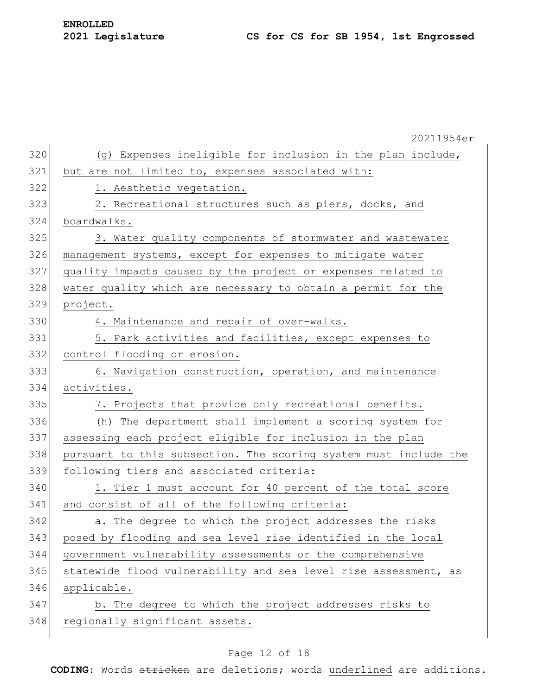|     | 20211954er                                                       |
|-----|------------------------------------------------------------------|
| 320 | (g) Expenses ineligible for inclusion in the plan include,       |
| 321 | but are not limited to, expenses associated with:                |
| 322 | 1. Aesthetic vegetation.                                         |
| 323 | 2. Recreational structures such as piers, docks, and             |
| 324 | boardwalks.                                                      |
| 325 | 3. Water quality components of stormwater and wastewater         |
| 326 | management systems, except for expenses to mitigate water        |
| 327 | quality impacts caused by the project or expenses related to     |
| 328 | water quality which are necessary to obtain a permit for the     |
| 329 | project.                                                         |
| 330 | 4. Maintenance and repair of over-walks.                         |
| 331 | 5. Park activities and facilities, except expenses to            |
| 332 | control flooding or erosion.                                     |
| 333 | 6. Navigation construction, operation, and maintenance           |
| 334 | activities.                                                      |
| 335 | 7. Projects that provide only recreational benefits.             |
| 336 | The department shall implement a scoring system for<br>(h)       |
| 337 | assessing each project eligible for inclusion in the plan        |
| 338 | pursuant to this subsection. The scoring system must include the |
| 339 | following tiers and associated criteria:                         |
| 340 | 1. Tier 1 must account for 40 percent of the total score         |
| 341 | and consist of all of the following criteria:                    |
| 342 | a. The degree to which the project addresses the risks           |
| 343 | posed by flooding and sea level rise identified in the local     |
| 344 | government vulnerability assessments or the comprehensive        |
| 345 | statewide flood vulnerability and sea level rise assessment, as  |
| 346 | applicable.                                                      |
| 347 | b. The degree to which the project addresses risks to            |
| 348 | regionally significant assets.                                   |
|     |                                                                  |

# Page 12 of 18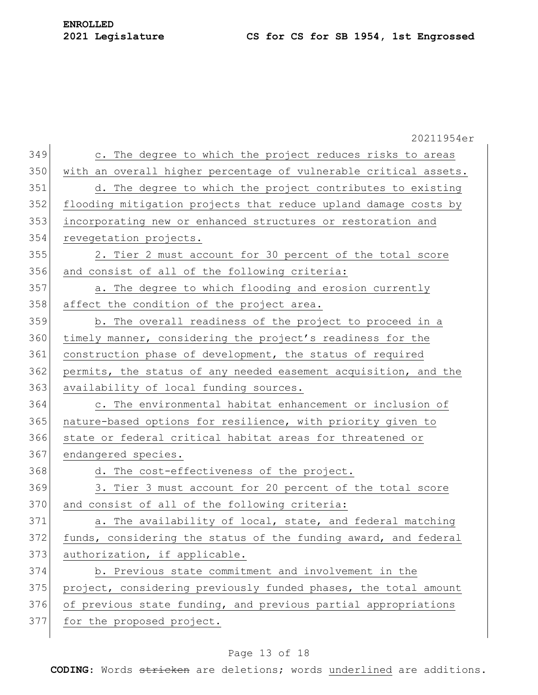|     | 20211954er                                                       |
|-----|------------------------------------------------------------------|
| 349 | c. The degree to which the project reduces risks to areas        |
| 350 | with an overall higher percentage of vulnerable critical assets. |
| 351 | d. The degree to which the project contributes to existing       |
| 352 | flooding mitigation projects that reduce upland damage costs by  |
| 353 | incorporating new or enhanced structures or restoration and      |
| 354 | revegetation projects.                                           |
| 355 | 2. Tier 2 must account for 30 percent of the total score         |
| 356 | and consist of all of the following criteria:                    |
| 357 | a. The degree to which flooding and erosion currently            |
| 358 | affect the condition of the project area.                        |
| 359 | b. The overall readiness of the project to proceed in a          |
| 360 | timely manner, considering the project's readiness for the       |
| 361 | construction phase of development, the status of required        |
| 362 | permits, the status of any needed easement acquisition, and the  |
| 363 | availability of local funding sources.                           |
| 364 | c. The environmental habitat enhancement or inclusion of         |
| 365 | nature-based options for resilience, with priority given to      |
| 366 | state or federal critical habitat areas for threatened or        |
| 367 | endangered species.                                              |
| 368 | d. The cost-effectiveness of the project.                        |
| 369 | 3. Tier 3 must account for 20 percent of the total score         |
| 370 | and consist of all of the following criteria:                    |
| 371 | a. The availability of local, state, and federal matching        |
| 372 | funds, considering the status of the funding award, and federal  |
| 373 | authorization, if applicable.                                    |
| 374 | b. Previous state commitment and involvement in the              |
| 375 | project, considering previously funded phases, the total amount  |
| 376 | of previous state funding, and previous partial appropriations   |
| 377 | for the proposed project.                                        |
|     |                                                                  |

# Page 13 of 18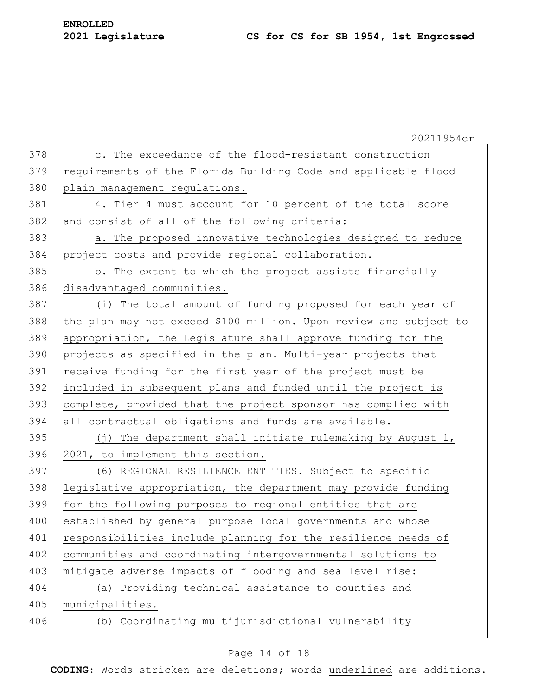|     | 20211954er                                                        |
|-----|-------------------------------------------------------------------|
| 378 | c. The exceedance of the flood-resistant construction             |
| 379 | requirements of the Florida Building Code and applicable flood    |
| 380 | plain management regulations.                                     |
| 381 | 4. Tier 4 must account for 10 percent of the total score          |
| 382 | and consist of all of the following criteria:                     |
| 383 | a. The proposed innovative technologies designed to reduce        |
| 384 | project costs and provide regional collaboration.                 |
| 385 | b. The extent to which the project assists financially            |
| 386 | disadvantaged communities.                                        |
| 387 | (i) The total amount of funding proposed for each year of         |
| 388 | the plan may not exceed \$100 million. Upon review and subject to |
| 389 | appropriation, the Legislature shall approve funding for the      |
| 390 | projects as specified in the plan. Multi-year projects that       |
| 391 | receive funding for the first year of the project must be         |
| 392 | included in subsequent plans and funded until the project is      |
| 393 | complete, provided that the project sponsor has complied with     |
| 394 | all contractual obligations and funds are available.              |
| 395 | The department shall initiate rulemaking by August 1,<br>( † )    |
| 396 | 2021, to implement this section.                                  |
| 397 | (6) REGIONAL RESILIENCE ENTITIES. - Subject to specific           |
| 398 | legislative appropriation, the department may provide funding     |
| 399 | for the following purposes to regional entities that are          |
| 400 | established by general purpose local governments and whose        |
| 401 | responsibilities include planning for the resilience needs of     |
| 402 | communities and coordinating intergovernmental solutions to       |
| 403 | mitigate adverse impacts of flooding and sea level rise:          |
| 404 | (a) Providing technical assistance to counties and                |
| 405 | municipalities.                                                   |
| 406 | (b) Coordinating multijurisdictional vulnerability                |
|     |                                                                   |

### Page 14 of 18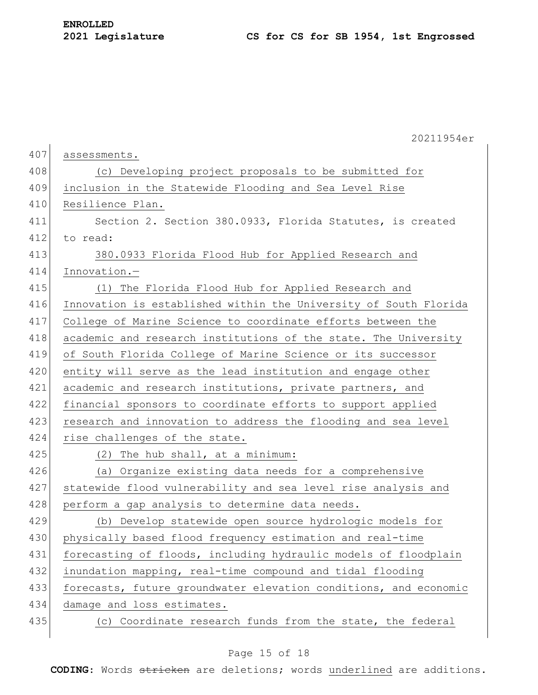|     | 20211954er                                                       |
|-----|------------------------------------------------------------------|
| 407 | assessments.                                                     |
| 408 | (c) Developing project proposals to be submitted for             |
| 409 | inclusion in the Statewide Flooding and Sea Level Rise           |
| 410 | Resilience Plan.                                                 |
| 411 | Section 2. Section 380.0933, Florida Statutes, is created        |
| 412 | to read:                                                         |
| 413 | 380.0933 Florida Flood Hub for Applied Research and              |
| 414 | Innovation.-                                                     |
| 415 | The Florida Flood Hub for Applied Research and<br>(1)            |
| 416 | Innovation is established within the University of South Florida |
| 417 | College of Marine Science to coordinate efforts between the      |
| 418 | academic and research institutions of the state. The University  |
| 419 | of South Florida College of Marine Science or its successor      |
| 420 | entity will serve as the lead institution and engage other       |
| 421 | academic and research institutions, private partners, and        |
| 422 | financial sponsors to coordinate efforts to support applied      |
| 423 | research and innovation to address the flooding and sea level    |
| 424 | rise challenges of the state.                                    |
| 425 | (2) The hub shall, at a minimum:                                 |
| 426 | (a) Organize existing data needs for a comprehensive             |
| 427 | statewide flood vulnerability and sea level rise analysis and    |
| 428 | perform a gap analysis to determine data needs.                  |
| 429 | (b) Develop statewide open source hydrologic models for          |
| 430 | physically based flood frequency estimation and real-time        |
| 431 | forecasting of floods, including hydraulic models of floodplain  |
| 432 | inundation mapping, real-time compound and tidal flooding        |
| 433 | forecasts, future groundwater elevation conditions, and economic |
| 434 | damage and loss estimates.                                       |
| 435 | (c) Coordinate research funds from the state, the federal        |
|     |                                                                  |

### Page 15 of 18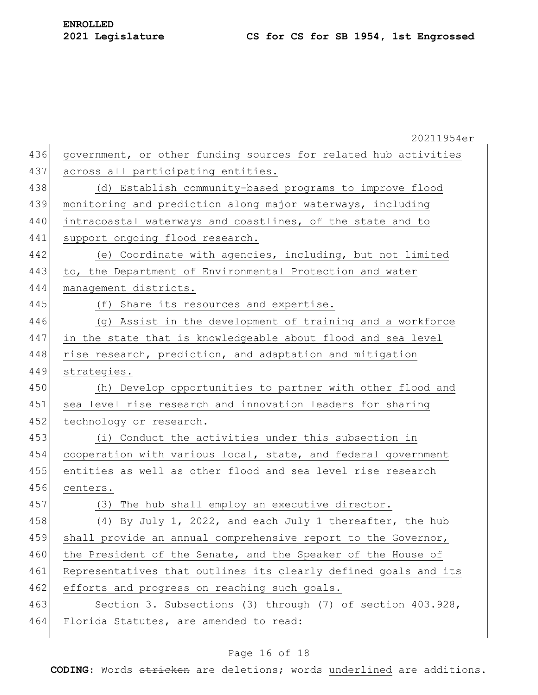|     | 20211954er                                                      |
|-----|-----------------------------------------------------------------|
| 436 | government, or other funding sources for related hub activities |
| 437 | across all participating entities.                              |
| 438 | (d) Establish community-based programs to improve flood         |
| 439 | monitoring and prediction along major waterways, including      |
| 440 | intracoastal waterways and coastlines, of the state and to      |
| 441 | support ongoing flood research.                                 |
| 442 | (e) Coordinate with agencies, including, but not limited        |
| 443 | to, the Department of Environmental Protection and water        |
| 444 | management districts.                                           |
| 445 | (f) Share its resources and expertise.                          |
| 446 | (g) Assist in the development of training and a workforce       |
| 447 | in the state that is knowledgeable about flood and sea level    |
| 448 | rise research, prediction, and adaptation and mitigation        |
| 449 | strategies.                                                     |
| 450 | (h) Develop opportunities to partner with other flood and       |
| 451 | sea level rise research and innovation leaders for sharing      |
| 452 | technology or research.                                         |
| 453 | (i) Conduct the activities under this subsection in             |
| 454 | cooperation with various local, state, and federal government   |
| 455 | entities as well as other flood and sea level rise research     |
| 456 | centers.                                                        |
| 457 | (3) The hub shall employ an executive director.                 |
| 458 | (4) By July 1, 2022, and each July 1 thereafter, the hub        |
| 459 | shall provide an annual comprehensive report to the Governor,   |
| 460 | the President of the Senate, and the Speaker of the House of    |
| 461 | Representatives that outlines its clearly defined goals and its |
| 462 | efforts and progress on reaching such goals.                    |
| 463 | Section 3. Subsections (3) through (7) of section 403.928,      |
| 464 | Florida Statutes, are amended to read:                          |
|     |                                                                 |

### Page 16 of 18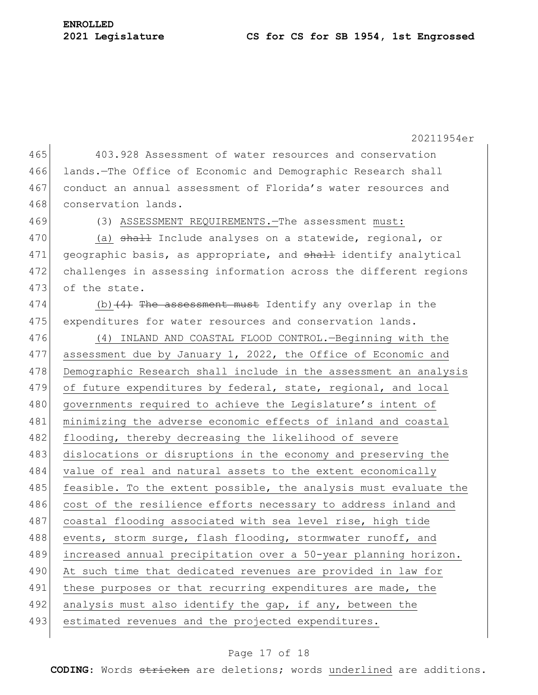#### **2021 Legislature CS for CS for SB 1954, 1st Engrossed**

**ENROLLED**

20211954er 465 403.928 Assessment of water resources and conservation 466 lands.—The Office of Economic and Demographic Research shall 467 conduct an annual assessment of Florida's water resources and 468 conservation lands. 469 (3) ASSESSMENT REQUIREMENTS.—The assessment must: 470 (a) shall Include analyses on a statewide, regional, or 471 geographic basis, as appropriate, and shall identify analytical 472 challenges in assessing information across the different regions 473 of the state. 474 (b)  $(4)$  The assessment must Identify any overlap in the 475 expenditures for water resources and conservation lands. 476 (4) INLAND AND COASTAL FLOOD CONTROL.—Beginning with the 477 assessment due by January 1, 2022, the Office of Economic and 478 Demographic Research shall include in the assessment an analysis 479 of future expenditures by federal, state, regional, and local 480 governments required to achieve the Legislature's intent of 481 minimizing the adverse economic effects of inland and coastal 482 flooding, thereby decreasing the likelihood of severe 483 dislocations or disruptions in the economy and preserving the 484 value of real and natural assets to the extent economically 485 feasible. To the extent possible, the analysis must evaluate the 486 cost of the resilience efforts necessary to address inland and 487 coastal flooding associated with sea level rise, high tide 488 events, storm surge, flash flooding, stormwater runoff, and 489 increased annual precipitation over a 50-year planning horizon. 490 At such time that dedicated revenues are provided in law for 491 | these purposes or that recurring expenditures are made, the 492 analysis must also identify the gap, if any, between the 493 estimated revenues and the projected expenditures.

#### Page 17 of 18